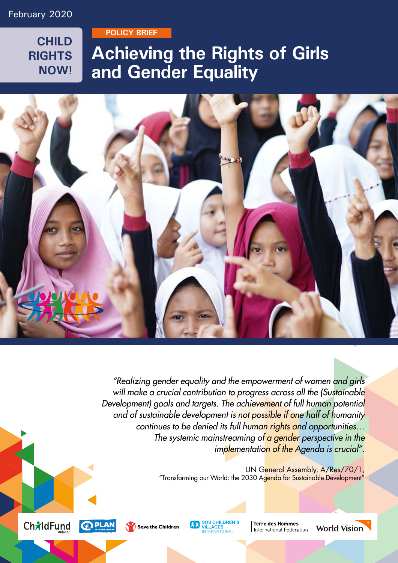**CHILD RIGHTS NOW!**

**POLICY BRIEF** 

## **Achieving the Rights of Girls and Gender Equality**



*"Realizing gender equality and the empowerment of women and girls will make a crucial contribution to progress across all the (Sustainable Development) goals and targets. The achievement of full human potential and of sustainable development is not possible if one half of humanity continues to be denied its full human rights and opportunities… The systemic mainstreaming of a gender perspective in the implementation of the Agenda is crucial".*

> UN General Assembly, A/Res/70/1, "Transforming our World: the 2030 Agenda for Sustainable Development"





**AVA SOS CHILDREN'S**<br> **INTERNATIONAL** 

**Terre des Hommes** International Federation

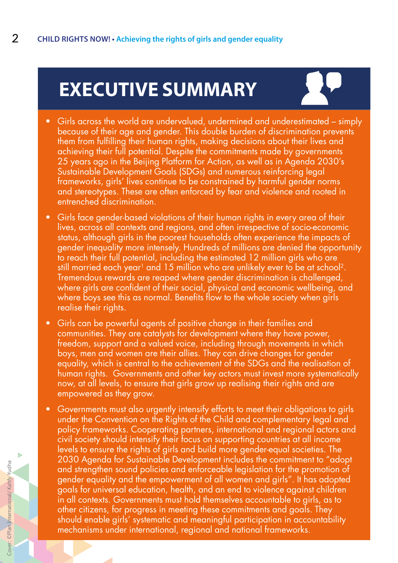# **EXECUTIVE SUMMARY**



- Girls across the world are undervalued, undermined and underestimated simply because of their age and gender. This double burden of discrimination prevents them from fulfilling their human rights, making decisions about their lives and achieving their full potential. Despite the commitments made by governments 25 years ago in the Beijing Platform for Action, as well as in Agenda 2030's Sustainable Development Goals (SDGs) and numerous reinforcing legal frameworks, girls' lives continue to be constrained by harmful gender norms and stereotypes. These are often enforced by fear and violence and rooted in entrenched discrimination.
- Girls face gender-based violations of their human rights in every area of their lives, across all contexts and regions, and often irrespective of socio-economic status, although girls in the poorest households often experience the impacts of gender inequality more intensely. Hundreds of millions are denied the opportunity to reach their full potential, including the estimated 12 million girls who are still married each year<sup>1</sup> and 15 million who are unlikely ever to be at school<sup>2</sup>. Tremendous rewards are reaped where gender discrimination is challenged, where girls are confident of their social, physical and economic wellbeing, and where boys see this as normal. Benefits flow to the whole society when girls realise their rights.
- Girls can be powerful agents of positive change in their families and communities. They are catalysts for development where they have power, freedom, support and a valued voice, including through movements in which boys, men and women are their allies. They can drive changes for gender equality, which is central to the achievement of the SDGs and the realisation of human rights. Governments and other key actors must invest more systematically now, at all levels, to ensure that girls grow up realising their rights and are empowered as they grow.
- Governments must also urgently intensify efforts to meet their obligations to girls under the Convention on the Rights of the Child and complementary legal and policy frameworks. Cooperating partners, international and regional actors and civil society should intensify their focus on supporting countries at all income levels to ensure the rights of girls and build more gender-equal societies. The 2030 Agenda for Sustainable Development includes the commitment to "adopt and strengthen sound policies and enforceable legislation for the promotion of gender equality and the empowerment of all women and girls". It has adopted goals for universal education, health, and an end to violence against children in all contexts. Governments must hold themselves accountable to girls, as to other citizens, for progress in meeting these commitments and goals. They should enable girls' systematic and meaningful participation in accountability mechanisms under international, regional and national frameworks.

ь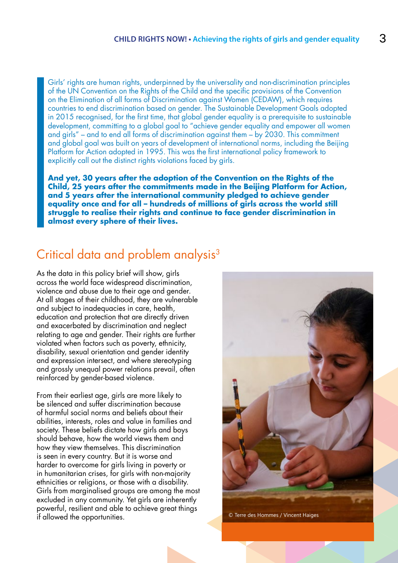Girls' rights are human rights, underpinned by the universality and non-discrimination principles of the UN Convention on the Rights of the Child and the specific provisions of the Convention on the Elimination of all forms of Discrimination against Women (CEDAW), which requires countries to end discrimination based on gender. The Sustainable Development Goals adopted in 2015 recognised, for the first time, that global gender equality is a prerequisite to sustainable development, committing to a global goal to "achieve gender equality and empower all women and girls" – and to end all forms of discrimination against them – by 2030. This commitment and global goal was built on years of development of international norms, including the Beijing Platform for Action adopted in 1995. This was the first international policy framework to explicitly call out the distinct rights violations faced by girls.

**And yet, 30 years after the adoption of the Convention on the Rights of the Child, 25 years after the commitments made in the Beijing Platform for Action, and 5 years after the international community pledged to achieve gender equality once and for all – hundreds of millions of girls across the world still struggle to realise their rights and continue to face gender discrimination in almost every sphere of their lives.**

### Critical data and problem analysis<sup>3</sup>

As the data in this policy brief will show, girls across the world face widespread discrimination, violence and abuse due to their age and gender. At all stages of their childhood, they are vulnerable and subject to inadequacies in care, health, education and protection that are directly driven and exacerbated by discrimination and neglect relating to age and gender. Their rights are further violated when factors such as poverty, ethnicity, disability, sexual orientation and gender identity and expression intersect, and where stereotyping and grossly unequal power relations prevail, often reinforced by gender-based violence.

From their earliest age, girls are more likely to be silenced and suffer discrimination because of harmful social norms and beliefs about their abilities, interests, roles and value in families and society. These beliefs dictate how girls and boys should behave, how the world views them and how they view themselves. This discrimination is seen in every country. But it is worse and harder to overcome for girls living in poverty or in humanitarian crises, for girls with non-majority ethnicities or religions, or those with a disability. Girls from marginalised groups are among the most excluded in any community. Yet girls are inherently powerful, resilient and able to achieve great things if allowed the opportunities.

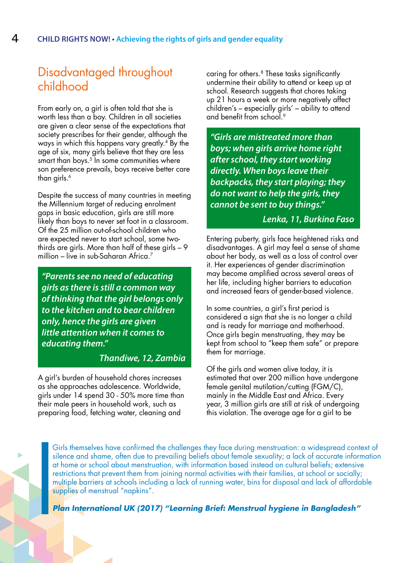## Disadvantaged throughout childhood

From early on, a girl is often told that she is worth less than a boy. Children in all societies are given a clear sense of the expectations that society prescribes for their gender, although the ways in which this happens vary greatly.4 By the age of six, many girls believe that they are less smart than boys.<sup>5</sup> In some communities where son preference prevails, boys receive better care than girls.<sup>6</sup>

Despite the success of many countries in meeting the Millennium target of reducing enrolment gaps in basic education, girls are still more likely than boys to never set foot in a classroom. Of the 25 million out-of-school children who are expected never to start school, some twothirds are girls. More than half of these girls – 9 million – live in sub-Saharan Africa.<sup>7</sup>

*"Parents see no need of educating girls as there is still a common way of thinking that the girl belongs only to the kitchen and to bear children only, hence the girls are given little attention when it comes to educating them."* 

#### *Thandiwe, 12, Zambia*

A girl's burden of household chores increases as she approaches adolescence. Worldwide, girls under 14 spend 30 - 50% more time than their male peers in household work, such as preparing food, fetching water, cleaning and

caring for others.<sup>8</sup> These tasks significantly undermine their ability to attend or keep up at school. Research suggests that chores taking up 21 hours a week or more negatively affect children's – especially girls' – ability to attend and benefit from school<sup>9</sup>

*"Girls are mistreated more than boys; when girls arrive home right after school, they start working directly. When boys leave their backpacks, they start playing; they do not want to help the girls, they cannot be sent to buy things."*

### *Lenka, 11, Burkina Faso*

Entering puberty, girls face heightened risks and disadvantages. A girl may feel a sense of shame about her body, as well as a loss of control over it. Her experiences of gender discrimination may become amplified across several areas of her life, including higher barriers to education and increased fears of gender-based violence.

In some countries, a girl's first period is considered a sign that she is no longer a child and is ready for marriage and motherhood. Once girls begin menstruating, they may be kept from school to "keep them safe" or prepare them for marriage.

Of the girls and women alive today, it is estimated that over 200 million have undergone female genital mutilation/cutting (FGM/C), mainly in the Middle East and Africa. Every year, 3 million girls are still at risk of undergoing this violation. The average age for a girl to be

Girls themselves have confirmed the challenges they face during menstruation: a widespread context of silence and shame, often due to prevailing beliefs about female sexuality; a lack of accurate information at home or school about menstruation, with information based instead on cultural beliefs; extensive restrictions that prevent them from joining normal activities with their families, at school or socially; multiple barriers at schools including a lack of running water, bins for disposal and lack of affordable supplies of menstrual "napkins".

*[Plan International UK \(2017\) "Learning Brief: Menstrual hygiene in Bangladesh"](https://planuk.org/file/learning-briefmenstrual-hygiene/ download?token=5m0sr-qu)*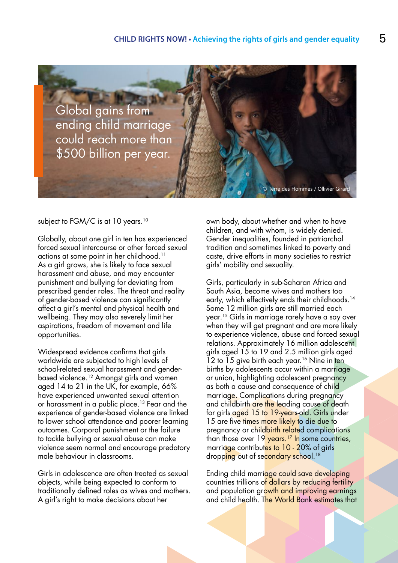

subject to FGM/C is at 10 years.<sup>10</sup>

Globally, about one girl in ten has experienced forced sexual intercourse or other forced sexual actions at some point in her childhood.<sup>11</sup> As a girl grows, she is likely to face sexual harassment and abuse, and may encounter punishment and bullying for deviating from prescribed gender roles. The threat and reality of gender-based violence can significantly affect a girl's mental and physical health and wellbeing. They may also severely limit her aspirations, freedom of movement and life opportunities.

Widespread evidence confirms that girls worldwide are subjected to high levels of school-related sexual harassment and genderbased violence.12 Amongst girls and women aged 14 to 21 in the UK, for example, 66% have experienced unwanted sexual attention or harassment in a public place.<sup>13</sup> Fear and the experience of gender-based violence are linked to lower school attendance and poorer learning outcomes. Corporal punishment or the failure to tackle bullying or sexual abuse can make violence seem normal and encourage predatory male behaviour in classrooms.

Girls in adolescence are often treated as sexual objects, while being expected to conform to traditionally defined roles as wives and mothers. A girl's right to make decisions about her

own body, about whether and when to have children, and with whom, is widely denied. Gender inequalities, founded in patriarchal tradition and sometimes linked to poverty and caste, drive efforts in many societies to restrict girls' mobility and sexuality.

Girls, particularly in sub-Saharan Africa and South Asia, become wives and mothers too early, which effectively ends their childhoods.<sup>14</sup> Some 12 million girls are still married each year.15 Girls in marriage rarely have a say over when they will get pregnant and are more likely to experience violence, abuse and forced sexual relations. Approximately 16 million adolescent girls aged 15 to 19 and 2.5 million girls aged 12 to 15 give birth each year.<sup>16</sup> Nine in ten births by adolescents occur within a marriage or union, highlighting adolescent pregnancy as both a cause and consequence of child marriage. Complications during pregnancy and childbirth are the leading cause of death for girls aged 15 to 19-years-old. Girls under 15 are five times more likely to die due to pregnancy or childbirth related complications than those over 19 years.<sup>17</sup> In some countries, marriage contributes to 10 - 20% of girls dropping out of secondary school.<sup>18</sup>

Ending child marriage could save developing countries trillions of dollars by reducing fertility and population growth and improving earnings and child health. The World Bank estimates that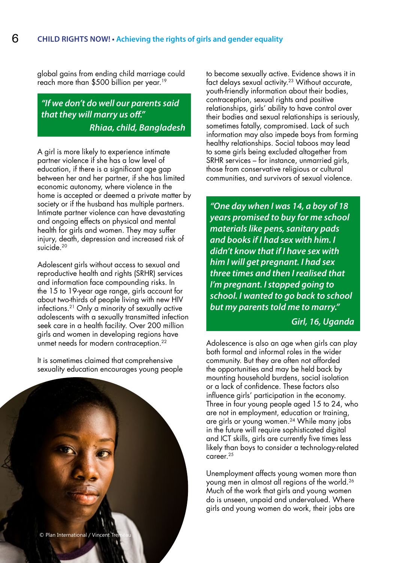global gains from ending child marriage could reach more than \$500 billion per year.<sup>19</sup>

*"If we don't do well our parents said that they will marry us off." Rhiaa, child, Bangladesh*

A girl is more likely to experience intimate partner violence if she has a low level of education, if there is a significant age gap between her and her partner, if she has limited economic autonomy, where violence in the home is accepted or deemed a private matter by society or if the husband has multiple partners. Intimate partner violence can have devastating and ongoing effects on physical and mental health for girls and women. They may suffer injury, death, depression and increased risk of suicide.<sup>20</sup>

Adolescent girls without access to sexual and reproductive health and rights (SRHR) services and information face compounding risks. In the 15 to 19-year age range, girls account for about two-thirds of people living with new HIV infections.21 Only a minority of sexually active adolescents with a sexually transmitted infection seek care in a health facility. Over 200 million girls and women in developing regions have unmet needs for modern contraception.<sup>22</sup>

It is sometimes claimed that comprehensive sexuality education encourages young people to become sexually active. Evidence shows it in fact delays sexual activity.<sup>23</sup> Without accurate, youth-friendly information about their bodies, contraception, sexual rights and positive relationships, girls' ability to have control over their bodies and sexual relationships is seriously, sometimes fatally, compromised. Lack of such information may also impede boys from forming healthy relationships. Social taboos may lead to some girls being excluded altogether from SRHR services – for instance, unmarried girls, those from conservative religious or cultural communities, and survivors of sexual violence.

*"One day when I was 14, a boy of 18 years promised to buy for me school materials like pens, sanitary pads and books if I had sex with him. I didn't know that if I have sex with him I will get pregnant. I had sex three times and then I realised that I'm pregnant. I stopped going to school. I wanted to go back to school but my parents told me to marry."* 

### *Girl, 16, Uganda*

Adolescence is also an age when girls can play both formal and informal roles in the wider community. But they are often not afforded the opportunities and may be held back by mounting household burdens, social isolation or a lack of confidence. These factors also influence girls' participation in the economy. Three in four young people aged 15 to 24, who are not in employment, education or training, are girls or young women.<sup>24</sup> While many jobs in the future will require sophisticated digital and ICT skills, girls are currently five times less likely than boys to consider a technology-related career.25

Unemployment affects young women more than young men in almost all regions of the world.26 Much of the work that girls and young women do is unseen, unpaid and undervalued. Where girls and young women do work, their jobs are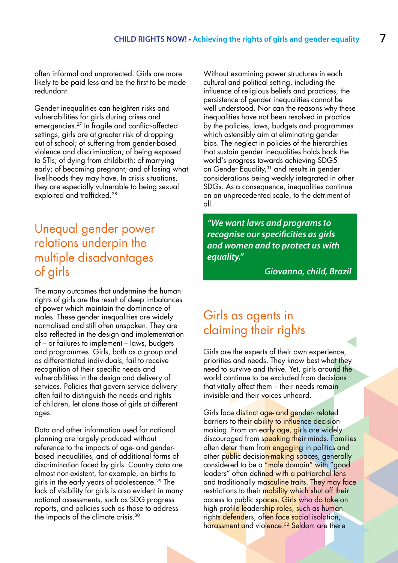often informal and unprotected. Girls are more likely to be paid less and be the first to be made redundant.

Gender inequalities can heighten risks and vulnerabilities for girls during crises and emergencies.27 In fragile and conflict-affected settings, girls are at greater risk of dropping out of school; of suffering from gender-based violence and discrimination; of being exposed to STIs; of dying from childbirth; of marrying early; of becoming pregnant; and of losing what livelihoods they may have. In crisis situations, they are especially vulnerable to being sexual exploited and trafficked.<sup>28</sup>

### Unequal gender power relations underpin the multiple disadvantages of girls

The many outcomes that undermine the human rights of girls are the result of deep imbalances of power which maintain the dominance of males. These gender inequalities are widely normalised and still often unspoken. They are also reflected in the design and implementation of – or failures to implement – laws, budgets and programmes. Girls, both as a group and as differentiated individuals, fail to receive recognition of their specific needs and vulnerabilities in the design and delivery of services. Policies that govern service delivery often fail to distinguish the needs and rights of children, let alone those of girls at different ages.

Data and other information used for national planning are largely produced without reference to the impacts of age- and genderbased inequalities, and of additional forms of discrimination faced by girls. Country data are almost non-existent, for example, on births to girls in the early years of adolescence.29 The lack of visibility for girls is also evident in many national assessments, such as SDG progress reports, and policies such as those to address the impacts of the climate crisis.30

Without examining power structures in each cultural and political setting, including the influence of religious beliefs and practices, the persistence of gender inequalities cannot be well understood. Nor can the reasons why these inequalities have not been resolved in practice by the policies, laws, budgets and programmes which ostensibly aim at eliminating gender bias. The neglect in policies of the hierarchies that sustain gender inequalities holds back the world's progress towards achieving SDG5 on Gender Equality,<sup>31</sup> and results in gender considerations being weakly integrated in other SDGs. As a consequence, inequalities continue on an unprecedented scale, to the detriment of all.

*"We want laws and programs to recognise our specificities as girls and women and to protect us with equality."* 

*Giovanna, child, Brazil*

### Girls as agents in claiming their rights

Girls are the experts of their own experience, priorities and needs. They know best what they need to survive and thrive. Yet, girls around the world continue to be excluded from decisions that vitally affect them – their needs remain invisible and their voices unheard.

Girls face distinct age- and gender- related barriers to their ability to influence decisionmaking. From an early age, girls are widely discouraged from speaking their minds. Families often deter them from engaging in politics and other public decision-making spaces, generally considered to be a "male domain" with "good leaders" often defined with a patriarchal lens and traditionally masculine traits. They may face restrictions to their mobility which shut off their access to public spaces. Girls who do take on high profile leadership roles, such as human rights defenders, often face social isolation, harassment and violence.<sup>32</sup> Seldom are there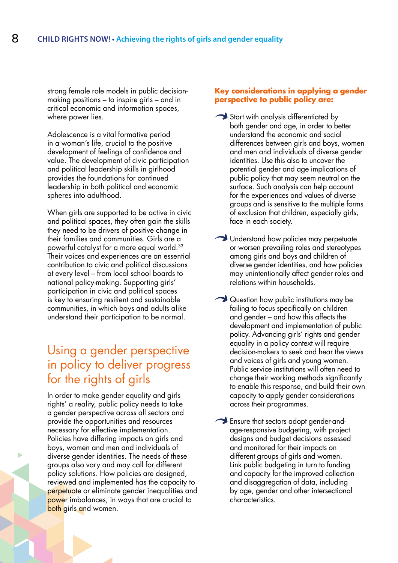strong female role models in public decisionmaking positions – to inspire girls – and in critical economic and information spaces, where power lies.

Adolescence is a vital formative period in a woman's life, crucial to the positive development of feelings of confidence and value. The development of civic participation and political leadership skills in girlhood provides the foundations for continued leadership in both political and economic spheres into adulthood.

When girls are supported to be active in civic and political spaces, they often gain the skills they need to be drivers of positive change in their families and communities. Girls are a powerful catalyst for a more equal world.33 Their voices and experiences are an essential contribution to civic and political discussions at every level – from local school boards to national policy-making. Supporting girls' participation in civic and political spaces is key to ensuring resilient and sustainable communities, in which boys and adults alike understand their participation to be normal.

### Using a gender perspective in policy to deliver progress for the rights of girls

In order to make gender equality and girls rights' a reality, public policy needs to take a gender perspective across all sectors and provide the opportunities and resources necessary for effective implementation. Policies have differing impacts on girls and boys, women and men and individuals of diverse gender identities. The needs of these groups also vary and may call for different policy solutions. How policies are designed, reviewed and implemented has the capacity to perpetuate or eliminate gender inequalities and power imbalances, in ways that are crucial to both girls and women.

#### **Key considerations in applying a gender perspective to public policy are:**

- Start with analysis differentiated by both gender and age, in order to better understand the economic and social differences between girls and boys, women and men and individuals of diverse gender identities. Use this also to uncover the potential gender and age implications of public policy that may seem neutral on the surface. Such analysis can help account for the experiences and values of diverse groups and is sensitive to the multiple forms of exclusion that children, especially girls, face in each society.
- Understand how policies may perpetuate or worsen prevailing roles and stereotypes among girls and boys and children of diverse gender identities, and how policies may unintentionally affect gender roles and relations within households.
- Question how public institutions may be failing to focus specifically on children and gender – and how this affects the development and implementation of public policy. Advancing girls' rights and gender equality in a policy context will require decision-makers to seek and hear the views and voices of girls and young women. Public service institutions will often need to change their working methods significantly to enable this response, and build their own capacity to apply gender considerations across their programmes.
- Ensure that sectors adopt gender-andage-responsive budgeting, with project designs and budget decisions assessed and monitored for their impacts on different groups of girls and women. Link public budgeting in turn to funding and capacity for the improved collection and disaggregation of data, including by age, gender and other intersectional characteristics.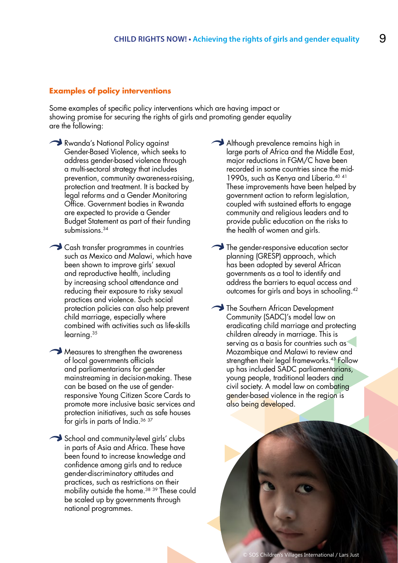#### **Examples of policy interventions**

Some examples of specific policy interventions which are having impact or showing promise for securing the rights of girls and promoting gender equality are the following:

- Rwanda's National Policy against Gender-Based Violence, which seeks to address gender-based violence through a multi-sectoral strategy that includes prevention, community awareness-raising, protection and treatment. It is backed by legal reforms and a Gender Monitoring Office. Government bodies in Rwanda are expected to provide a Gender Budget Statement as part of their funding submissions.34
- Cash transfer programmes in countries such as Mexico and Malawi, which have been shown to improve girls' sexual and reproductive health, including by increasing school attendance and reducing their exposure to risky sexual practices and violence. Such social protection policies can also help prevent child marriage, especially where combined with activities such as life-skills learning.35
- Measures to strengthen the awareness of local governments officials and parliamentarians for gender mainstreaming in decision-making. These can be based on the use of genderresponsive Young Citizen Score Cards to promote more inclusive basic services and protection initiatives, such as safe houses for girls in parts of India.36 <sup>37</sup>
- School and community-level girls' clubs in parts of Asia and Africa. These have been found to increase knowledge and confidence among girls and to reduce gender-discriminatory attitudes and practices, such as restrictions on their mobility outside the home.<sup>38</sup> <sup>39</sup> These could be scaled up by governments through national programmes.
- Although prevalence remains high in large parts of Africa and the Middle East, major reductions in FGM/C have been recorded in some countries since the mid-1990s, such as Kenya and Liberia.40 <sup>41</sup> These improvements have been helped by government action to reform legislation, coupled with sustained efforts to engage community and religious leaders and to provide public education on the risks to the health of women and girls.
- The gender-responsive education sector planning (GRESP) approach, which has been adopted by several African governments as a tool to identify and address the barriers to equal access and outcomes for girls and boys in schooling.42
- The Southern African Development Community (SADC)'s model law on eradicating child marriage and protecting children already in marriage. This is serving as a basis for countries such as Mozambique and Malawi to review and strengthen their legal frameworks.<sup>43</sup> Follow up has included SADC parliamentarians, young people, traditional leaders and civil society. A model law on combating gender-based violence in the region is also being developed.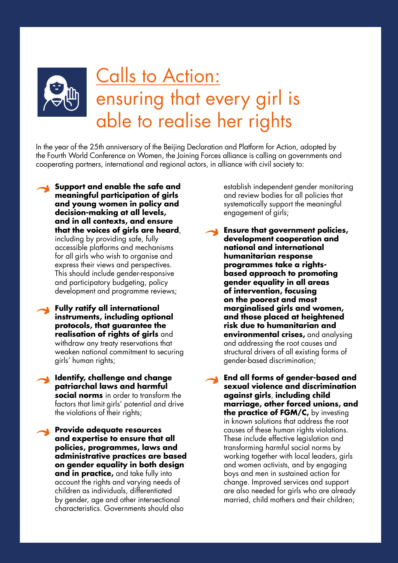

# Calls to Action: ensuring that every girl is able to realise her rights

In the year of the 25th anniversary of the Beijing Declaration and Platform for Action, adopted by the Fourth World Conference on Women, the Joining Forces alliance is calling on governments and cooperating partners, international and regional actors, in alliance with civil society to:

- **Support and enable the safe and meaningful participation of girls and young women in policy and decision-making at all levels, and in all contexts, and ensure that the voices of girls are heard**, including by providing safe, fully accessible platforms and mechanisms for all girls who wish to organise and express their views and perspectives. This should include gender-responsive and participatory budgeting, policy development and programme reviews;
	- **Fully ratify all international instruments, including optional protocols, that guarantee the realisation of rights of girls** and withdraw any treaty reservations that weaken national commitment to securing girls' human rights;
	- **Identify, challenge and change patriarchal laws and harmful social norms** in order to transform the factors that limit girls' potential and drive the violations of their rights;

**Provide adequate resources and expertise to ensure that all policies, programmes, laws and administrative practices are based on gender equality in both design and in practice,** and take fully into account the rights and varying needs of children as individuals, differentiated by gender, age and other intersectional characteristics. Governments should also

establish independent gender monitoring and review bodies for all policies that systematically support the meaningful engagement of girls;

**Ensure that government policies, development cooperation and national and international humanitarian response programmes take a rightsbased approach to promoting gender equality in all areas of intervention, focusing on the poorest and most marginalised girls and women, and those placed at heightened risk due to humanitarian and environmental crises,** and analysing and addressing the root causes and structural drivers of all existing forms of gender-based discrimination;

**End all forms of gender-based and sexual violence and discrimination against girls**, **including child marriage, other forced unions, and the practice of FGM/C, by investing** in known solutions that address the root causes of these human rights violations. These include effective legislation and transforming harmful social norms by working together with local leaders, girls and women activists, and by engaging boys and men in sustained action for change. Improved services and support are also needed for girls who are already married, child mothers and their children;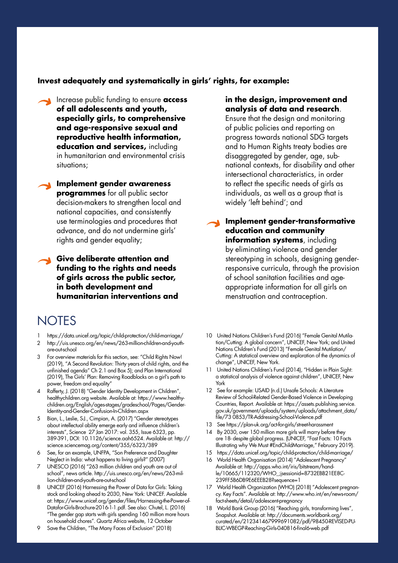#### **Invest adequately and systematically in girls' rights, for example:**

Increase public funding to ensure **access of all adolescents and youth, especially girls, to comprehensive and age-responsive sexual and reproductive health information, education and services,** including in humanitarian and environmental crisis situations;

**Implement gender awareness programmes** for all public sector decision-makers to strengthen local and national capacities, and consistently use terminologies and procedures that advance, and do not undermine girls' rights and gender equality;

**Give deliberate attention and funding to the rights and needs of girls across the public sector, in both development and humanitarian interventions and** 

### **NOTES**

- 1 https://data.unicef.org/topic/child-protection/child-marriage/
- 2 http://uis.unesco.org/en/news/263-million-children-and-youthare-out-school
- 3 For overview materials for this section, see: "Child Rights Now! (2019), "A Second Revolution: Thirty years of child rights, and the unfinished agenda" Ch 2.1 and Box 5); and Plan International (2019), The Girls' Plan: Removing Roadblocks on a girl's path to power, freedom and equality"
- 4 Rafferty, J. (2018) "Gender Identity Development in Children", healthychildren.org website. Available at: https://www.healthychildren.org/English/ages-stages/gradeschool/Pages/Gender-Identity-and-Gender-Confusion-In-Children.aspx
- Bian, L., Leslie, S-J., Cimpian, A. (2017) "Gender stereotypes about intellectual ability emerge early and influence children's interests", Science 27 Jan 2017: vol. 355, Issue 6323, pp. 389-391, DOI: 10.1126/science.aah6524. Available at: http:// science.sciencemag.org/content/355/6323/389
- 6 See, for an example, UNFPA, "Son Preference and Daughter Neglect in India: what happens to living girls?" (2007)
- 7 UNESCO (2016) "263 million children and youth are out of school", news article. http://uis.unesco.org/en/news/263-million-children-and-youth-are-out-school
- 8 UNICEF (2016) Harnessing the Power of Data for Girls: Taking stock and looking ahead to 2030, New York: UNICEF. Available at: https://www.unicef.org/gender/files/Harnessing-the-Power-of-Datafor-Girls-Brochure-2016-1-1.pdf. See also: Chutel, L. (2016) "The gender gap starts with girls spending 160 million more hours on household chores". Quartz Africa website, 12 October
- 9 Save the Children, "The Many Faces of Exclusion" (2018)

#### **in the design, improvement and analysis of data and research**.

Ensure that the design and monitoring of public policies and reporting on progress towards national SDG targets and to Human Rights treaty bodies are disaggregated by gender, age, subnational contexts, for disability and other intersectional characteristics, in order to reflect the specific needs of girls as individuals, as well as a group that is widely 'left behind'; and

**Implement gender-transformative education and community information systems**, including by eliminating violence and gender stereotyping in schools, designing genderresponsive curricula, through the provision of school sanitation facilities and ageappropriate information for all girls on menstruation and contraception.

- 10 United Nations Children's Fund (2016) "Female Genital Mutilation/Cutting: A global concern", UNICEF, New York; and United Nations Children's Fund (2013) "Female Genital Mutilation/ Cutting: A statistical overview and exploration of the dynamics of change", UNICEF, New York.
- 11 United Nations Children's Fund (2014), "Hidden in Plain Sight: a statistical analysis of violence against children", UNICEF, New York
- 12 See for example: USAID (n.d.) Unsafe Schools: A Literature Review of School-Related Gender-Based Violence in Developing Countries, Report. Available at: https://assets.publishing.service. gov.uk/government/uploads/system/uploads/attachment\_data/ file/73 0853/TR-Addressing-School-Violence.pdf
- 13 See https://plan-uk.org/act-for-girls/street-harassment
- 14 By 2030, over 150 million more girls will marry before they are 18- despite global progress. (UNICEF, "Fast Facts: 10 Facts Illustrating why We Must #EndChildMarriage," February 2019).
- 15 https://data.unicef.org/topic/child-protection/child-marriage/
- 16 World Health Organisation (2014) "Adolescent Pregnancy" Available at: http://apps.who.int/iris/bitstream/handle/10665/112320/WHO\_;jsessionid=8732EBB21EE8C-239FF5B6DB9E6EEEB28?sequence=1
- 17 World Health Organization (WHO) (2018) "Adolescent pregnancy. Key Facts". Available at: http://www.who.int/en/news-room/ fact-sheets/detail/adolescent-pregnancy
- 18 World Bank Group (2016) "Reaching girls, transforming lives", Snapshot. Available at: http://documents.worldbank.org/ curated/en/212341467999691082/pdf/98450-REVISED-PU-BLIC-WBEGP-Reaching-Girls-040816-final6-web.pdf